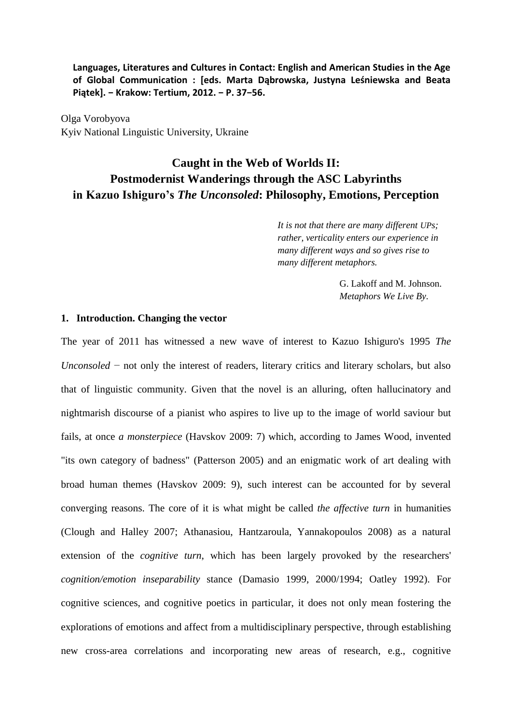**Languages, Literatures and Cultures in Contact: English and American Studies in the Age of Global Communication : [eds. Marta Dąbrowska, Justyna Leśniewska and Beata Piątek]. − Krakow: Tertium, 2012. − P. 37−56.** 

Olga Vorobyova Kyiv National Linguistic University, Ukraine

# **Caught in the Web of Worlds II: Postmodernist Wanderings through the ASC Labyrinths in Kazuo Ishiguro's** *The Unconsoled***: Philosophy, Emotions, Perception**

*It is not that there are many different UPs; rather, verticality enters our experience in many different ways and so gives rise to many different metaphors.*

> G. Lakoff and M. Johnson. *Metaphors We Live By*.

## **1. Introduction. Changing the vector**

The year of 2011 has witnessed a new wave of interest to Kazuo Ishiguro's 1995 *The Unconsoled* − not only the interest of readers, literary critics and literary scholars, but also that of linguistic community. Given that the novel is an alluring, often hallucinatory and nightmarish discourse of a pianist who aspires to live up to the image of world saviour but fails, at once *a monsterpiece* (Havskov 2009: 7) which, according to James Wood, invented "its own category of badness" (Patterson 2005) and an enigmatic work of art dealing with broad human themes (Havskov 2009: 9), such interest can be accounted for by several converging reasons. The core of it is what might be called *the affective turn* in humanities (Clough and Halley 2007; Athanasiou, Hantzaroula, Yannakopoulos 2008) as a natural extension of the *cognitive turn*, which has been largely provoked by the researchers' *cognition/emotion inseparability* stance (Damasio 1999, 2000/1994; Oatley 1992). For cognitive sciences, and cognitive poetics in particular, it does not only mean fostering the explorations of emotions and affect from a multidisciplinary perspective, through establishing new cross-area correlations and incorporating new areas of research, e.g., cognitive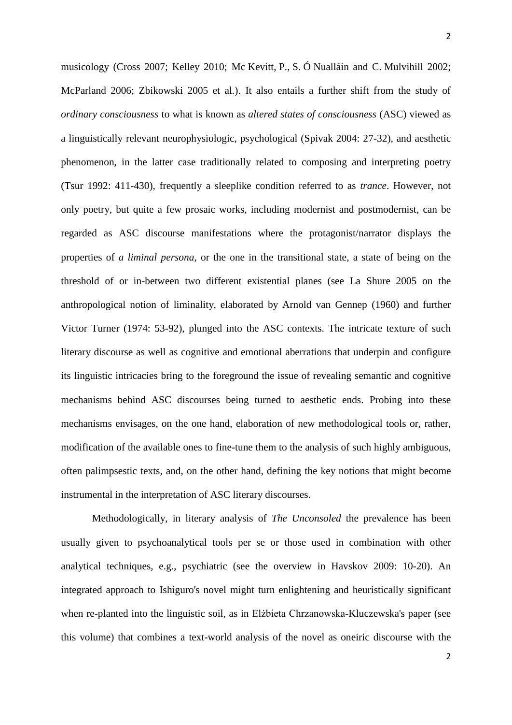2

musicology (Cross 2007; Kelley 2010; Mc Kevitt, P., S. Ó Nualláin and C. Mulvihill 2002; McParland 2006; Zbikowski 2005 et al.). It also entails a further shift from the study of *ordinary consciousness* to what is known as *altered states of consciousness* (ASC) viewed as a linguistically relevant neurophysiologic, psychological (Spivak 2004: 27-32), and aesthetic phenomenon, in the latter case traditionally related to composing and interpreting poetry (Tsur 1992: 411-430), frequently a sleeplike condition referred to as *trance*. However, not only poetry, but quite a few prosaic works, including modernist and postmodernist, can be regarded as ASC discourse manifestations where the protagonist/narrator displays the properties of *a liminal persona*, or the one in the transitional state, a state of being on the threshold of or in-between two different existential planes (see La Shure 2005 on the anthropological notion of liminality, elaborated by Arnold van Gennep (1960) and further Victor Turner (1974: 53-92), plunged into the ASC contexts. The intricate texture of such literary discourse as well as cognitive and emotional aberrations that underpin and configure its linguistic intricacies bring to the foreground the issue of revealing semantic and cognitive mechanisms behind ASC discourses being turned to aesthetic ends. Probing into these mechanisms envisages, on the one hand, elaboration of new methodological tools or, rather, modification of the available ones to fine-tune them to the analysis of such highly ambiguous, often palimpsestic texts, and, on the other hand, defining the key notions that might become instrumental in the interpretation of ASC literary discourses.

Methodologically, in literary analysis of *The Unconsoled* the prevalence has been usually given to psychoanalytical tools per se or those used in combination with other analytical techniques, e.g., psychiatric (see the overview in Havskov 2009: 10-20). An integrated approach to Ishiguro's novel might turn enlightening and heuristically significant when re-planted into the linguistic soil, as in Elżbieta Chrzanowska-Kluczewska's paper (see this volume) that combines a text-world analysis of the novel as oneiric discourse with the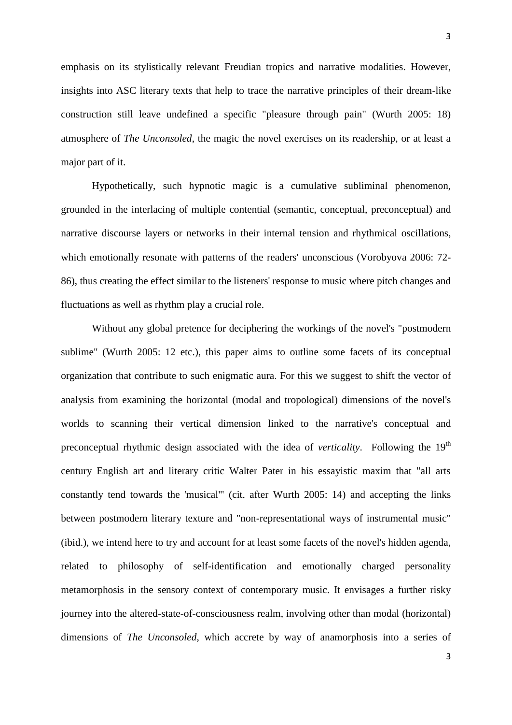emphasis on its stylistically relevant Freudian tropics and narrative modalities. However, insights into ASC literary texts that help to trace the narrative principles of their dream-like construction still leave undefined a specific "pleasure through pain" (Wurth 2005: 18) atmosphere of *The Unconsoled*, the magic the novel exercises on its readership, or at least a major part of it.

Hypothetically, such hypnotic magic is a cumulative subliminal phenomenon, grounded in the interlacing of multiple contential (semantic, conceptual, preconceptual) and narrative discourse layers or networks in their internal tension and rhythmical oscillations, which emotionally resonate with patterns of the readers' unconscious (Vorobyova 2006: 72- 86), thus creating the effect similar to the listeners' response to music where pitch changes and fluctuations as well as rhythm play a crucial role.

Without any global pretence for deciphering the workings of the novel's "postmodern sublime" (Wurth 2005: 12 etc.), this paper aims to outline some facets of its conceptual organization that contribute to such enigmatic aura. For this we suggest to shift the vector of analysis from examining the horizontal (modal and tropological) dimensions of the novel's worlds to scanning their vertical dimension linked to the narrative's conceptual and preconceptual rhythmic design associated with the idea of *verticality*. Following the 19<sup>th</sup> century English art and literary critic Walter Pater in his essayistic maxim that "all arts constantly tend towards the 'musical'" (cit. after Wurth 2005: 14) and accepting the links between postmodern literary texture and "non-representational ways of instrumental music" (ibid.), we intend here to try and account for at least some facets of the novel's hidden agenda, related to philosophy of self-identification and emotionally charged personality metamorphosis in the sensory context of contemporary music. It envisages a further risky journey into the altered-state-of-consciousness realm, involving other than modal (horizontal) dimensions of *The Unconsoled*, which accrete by way of anamorphosis into a series of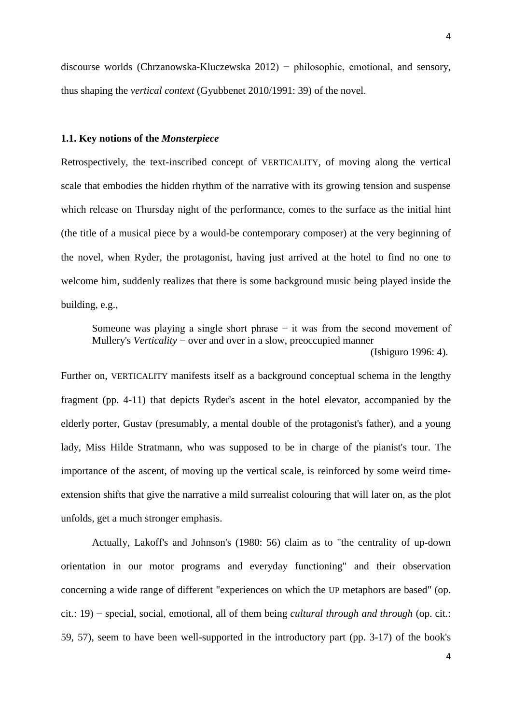discourse worlds (Chrzanowska-Kluczewska 2012) − philosophic, emotional, and sensory, thus shaping the *vertical context* (Gyubbenet 2010/1991: 39) of the novel.

# **1.1. Key notions of the** *Monsterpiece*

Retrospectively, the text-inscribed concept of VERTICALITY, of moving along the vertical scale that embodies the hidden rhythm of the narrative with its growing tension and suspense which release on Thursday night of the performance, comes to the surface as the initial hint (the title of a musical piece by a would-be contemporary composer) at the very beginning of the novel, when Ryder, the protagonist, having just arrived at the hotel to find no one to welcome him, suddenly realizes that there is some background music being played inside the building, e.g.,

Someone was playing a single short phrase − it was from the second movement of Mullery's *Verticality* − over and over in a slow, preoccupied manner

(Ishiguro 1996: 4).

Further on, VERTICALITY manifests itself as a background conceptual schema in the lengthy fragment (pp. 4-11) that depicts Ryder's ascent in the hotel elevator, accompanied by the elderly porter, Gustav (presumably, a mental double of the protagonist's father), and a young lady, Miss Hilde Stratmann, who was supposed to be in charge of the pianist's tour. The importance of the ascent, of moving up the vertical scale, is reinforced by some weird timeextension shifts that give the narrative a mild surrealist colouring that will later on, as the plot unfolds, get a much stronger emphasis.

Actually, Lakoff's and Johnson's (1980: 56) claim as to "the centrality of up-down orientation in our motor programs and everyday functioning" and their observation concerning a wide range of different "experiences on which the UP metaphors are based" (op. cit.: 19) − special, social, emotional, all of them being *cultural through and through* (op. cit.: 59, 57), seem to have been well-supported in the introductory part (pp. 3-17) of the book's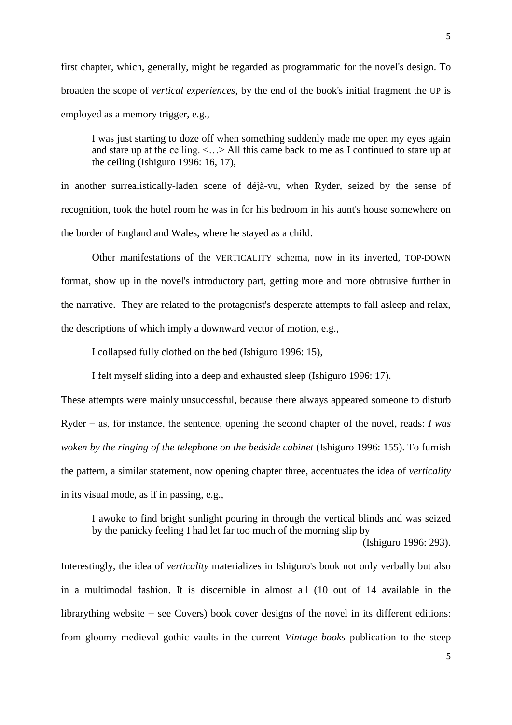first chapter, which, generally, might be regarded as programmatic for the novel's design. To broaden the scope of *vertical experiences*, by the end of the book's initial fragment the UP is employed as a memory trigger, e.g.,

I was just starting to doze off when something suddenly made me open my eyes again and stare up at the ceiling.  $\leq$ ... > All this came back to me as I continued to stare up at the ceiling (Ishiguro 1996: 16, 17),

in another surrealistically-laden scene of déjà-vu, when Ryder, seized by the sense of recognition, took the hotel room he was in for his bedroom in his aunt's house somewhere on the border of England and Wales, where he stayed as a child.

Other manifestations of the VERTICALITY schema, now in its inverted, TOP-DOWN format, show up in the novel's introductory part, getting more and more obtrusive further in the narrative. They are related to the protagonist's desperate attempts to fall asleep and relax, the descriptions of which imply a downward vector of motion, e.g.,

I collapsed fully clothed on the bed (Ishiguro 1996: 15),

I felt myself sliding into a deep and exhausted sleep (Ishiguro 1996: 17).

These attempts were mainly unsuccessful, because there always appeared someone to disturb Ryder − as, for instance, the sentence, opening the second chapter of the novel, reads: *I was woken by the ringing of the telephone on the bedside cabinet* (Ishiguro 1996: 155). To furnish the pattern, a similar statement, now opening chapter three, accentuates the idea of *verticality*  in its visual mode, as if in passing, e.g.,

I awoke to find bright sunlight pouring in through the vertical blinds and was seized by the panicky feeling I had let far too much of the morning slip by (Ishiguro 1996: 293).

Interestingly, the idea of *verticality* materializes in Ishiguro's book not only verbally but also in a multimodal fashion. It is discernible in almost all (10 out of 14 available in the librarything website − see Covers) book cover designs of the novel in its different editions: from gloomy medieval gothic vaults in the current *Vintage books* publication to the steep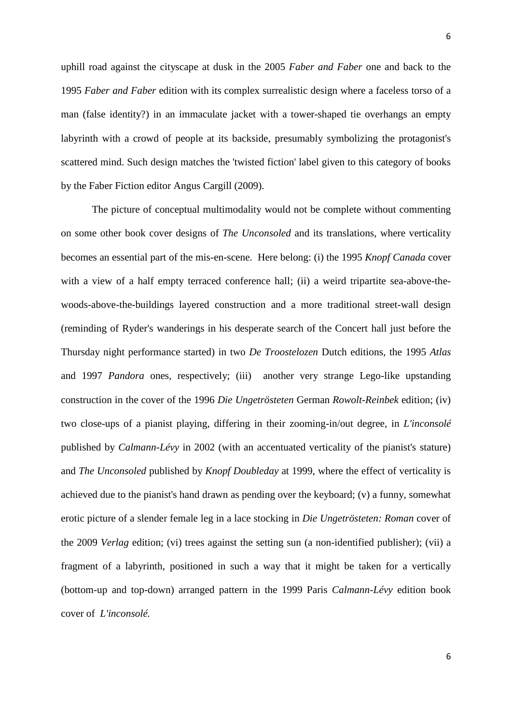uphill road against the cityscape at dusk in the 2005 *Faber and Faber* one and back to the 1995 *Faber and Faber* edition with its complex surrealistic design where a faceless torso of a man (false identity?) in an immaculate jacket with a tower-shaped tie overhangs an empty labyrinth with a crowd of people at its backside, presumably symbolizing the protagonist's scattered mind. Such design matches the 'twisted fiction' label given to this category of books by the Faber Fiction editor Angus Cargill (2009).

The picture of conceptual multimodality would not be complete without commenting on some other book cover designs of *The Unconsoled* and its translations, where verticality becomes an essential part of the mis-en-scene. Here belong: (i) the 1995 *Knopf Canada* cover with a view of a half empty terraced conference hall; (ii) a weird tripartite sea-above-thewoods-above-the-buildings layered construction and a more traditional street-wall design (reminding of Ryder's wanderings in his desperate search of the Concert hall just before the Thursday night performance started) in two *De Troostelozen* Dutch editions, the 1995 *Atlas*  and 1997 *Pandora* ones, respectively; (iii) another very strange Lego-like upstanding construction in the cover of the 1996 *Die Ungetrösteten* German *Rowolt-Reinbek* edition; (iv) two close-ups of a pianist playing, differing in their zooming-in/out degree, in *L'inconsolé*  published by *Calmann-Lévy* in 2002 (with an accentuated verticality of the pianist's stature) and *The Unconsoled* published by *Knopf Doubleday* at 1999, where the effect of verticality is achieved due to the pianist's hand drawn as pending over the keyboard; (v) a funny, somewhat erotic picture of a slender female leg in a lace stocking in *Die Ungetrösteten: Roman* cover of the 2009 *Verlag* edition; (vi) trees against the setting sun (a non-identified publisher); (vii) a fragment of a labyrinth, positioned in such a way that it might be taken for a vertically (bottom-up and top-down) arranged pattern in the 1999 Paris *Calmann-Lévy* edition book cover of *L'inconsolé.*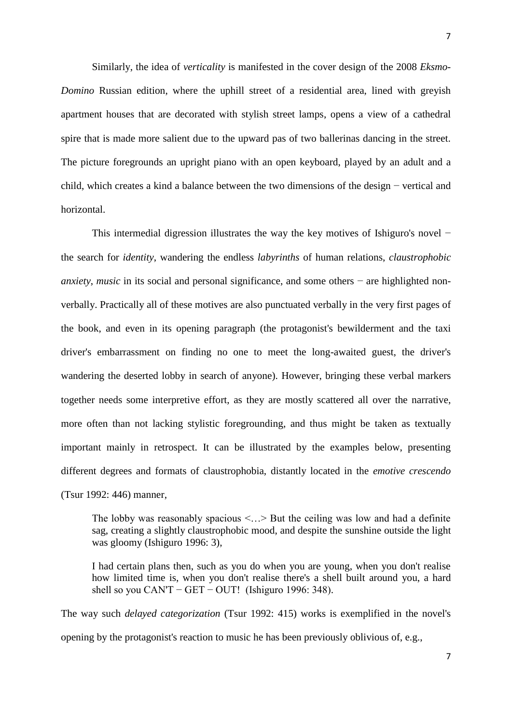Similarly, the idea of *verticality* is manifested in the cover design of the 2008 *Eksmo-Domino* Russian edition, where the uphill street of a residential area, lined with greyish apartment houses that are decorated with stylish street lamps, opens a view of a cathedral spire that is made more salient due to the upward pas of two ballerinas dancing in the street. The picture foregrounds an upright piano with an open keyboard, played by an adult and a child, which creates a kind a balance between the two dimensions of the design − vertical and horizontal.

This intermedial digression illustrates the way the key motives of Ishiguro's novel − the search for *identity*, wandering the endless *labyrinths* of human relations, *claustrophobic anxiety, music* in its social and personal significance, and some others – are highlighted nonverbally. Practically all of these motives are also punctuated verbally in the very first pages of the book, and even in its opening paragraph (the protagonist's bewilderment and the taxi driver's embarrassment on finding no one to meet the long-awaited guest, the driver's wandering the deserted lobby in search of anyone). However, bringing these verbal markers together needs some interpretive effort, as they are mostly scattered all over the narrative, more often than not lacking stylistic foregrounding, and thus might be taken as textually important mainly in retrospect. It can be illustrated by the examples below, presenting different degrees and formats of claustrophobia, distantly located in the *emotive crescendo*  (Tsur 1992: 446) manner,

The lobby was reasonably spacious  $\langle \cdot \rangle$  But the ceiling was low and had a definite sag, creating a slightly claustrophobic mood, and despite the sunshine outside the light was gloomy (Ishiguro 1996: 3),

I had certain plans then, such as you do when you are young, when you don't realise how limited time is, when you don't realise there's a shell built around you, a hard shell so you CAN'T – GET – OUT! (Ishiguro 1996: 348).

The way such *delayed categorization* (Tsur 1992: 415) works is exemplified in the novel's opening by the protagonist's reaction to music he has been previously oblivious of, e.g.,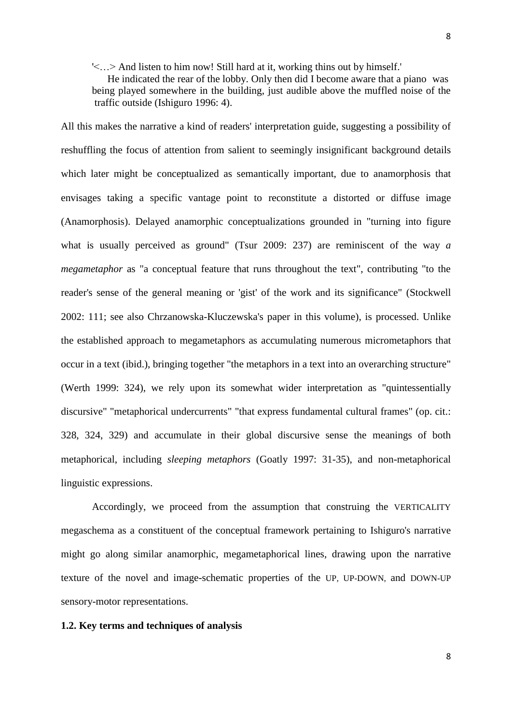'<…> And listen to him now! Still hard at it, working thins out by himself.'

 He indicated the rear of the lobby. Only then did I become aware that a piano was being played somewhere in the building, just audible above the muffled noise of the traffic outside (Ishiguro 1996: 4).

All this makes the narrative a kind of readers' interpretation guide, suggesting a possibility of reshuffling the focus of attention from salient to seemingly insignificant background details which later might be conceptualized as semantically important, due to anamorphosis that envisages taking a specific vantage point to reconstitute a distorted or diffuse image (Anamorphosis). Delayed anamorphic conceptualizations grounded in "turning into figure what is usually perceived as ground" (Tsur 2009: 237) are reminiscent of the way *a megametaphor* as "a conceptual feature that runs throughout the text", contributing "to the reader's sense of the general meaning or 'gist' of the work and its significance" (Stockwell 2002: 111; see also Chrzanowska-Kluczewska's paper in this volume), is processed. Unlike the established approach to megametaphors as accumulating numerous micrometaphors that occur in a text (ibid.), bringing together "the metaphors in a text into an overarching structure" (Werth 1999: 324), we rely upon its somewhat wider interpretation as "quintessentially discursive" "metaphorical undercurrents" "that express fundamental cultural frames" (op. cit.: 328, 324, 329) and accumulate in their global discursive sense the meanings of both metaphorical, including *sleeping metaphors* (Goatly 1997: 31-35), and non-metaphorical linguistic expressions.

Accordingly, we proceed from the assumption that construing the VERTICALITY megaschema as a constituent of the conceptual framework pertaining to Ishiguro's narrative might go along similar anamorphic, megametaphorical lines, drawing upon the narrative texture of the novel and image-schematic properties of the UP, UP-DOWN, and DOWN-UP sensory-motor representations.

#### **1.2. Key terms and techniques of analysis**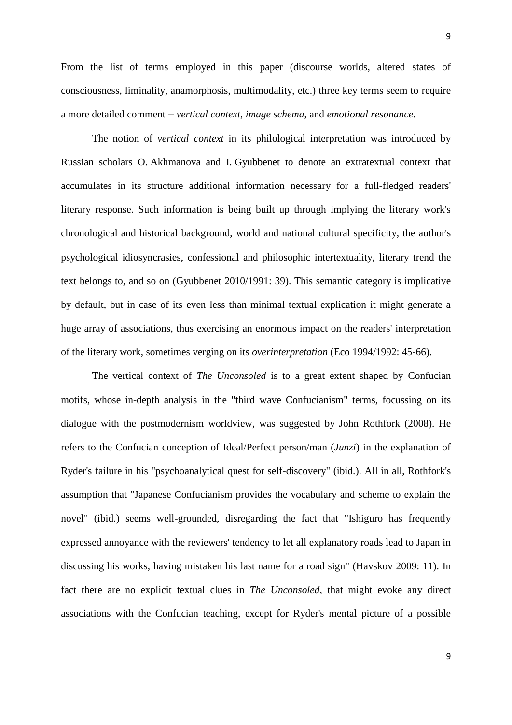From the list of terms employed in this paper (discourse worlds, altered states of

consciousness, liminality, anamorphosis, multimodality, etc.) three key terms seem to require a more detailed comment − *vertical context*, *image schema*, and *emotional resonance*.

The notion of *vertical context* in its philological interpretation was introduced by Russian scholars O. Akhmanova and I. Gyubbenet to denote an extratextual context that accumulates in its structure additional information necessary for a full-fledged readers' literary response. Such information is being built up through implying the literary work's chronological and historical background, world and national cultural specificity, the author's psychological idiosyncrasies, confessional and philosophic intertextuality, literary trend the text belongs to, and so on (Gyubbenet 2010/1991: 39). This semantic category is implicative by default, but in case of its even less than minimal textual explication it might generate a huge array of associations, thus exercising an enormous impact on the readers' interpretation of the literary work, sometimes verging on its *overinterpretation* (Eco 1994/1992: 45-66).

The vertical context of *The Unconsoled* is to a great extent shaped by Confucian motifs, whose in-depth analysis in the "third wave Confucianism" terms, focussing on its dialogue with the postmodernism worldview, was suggested by John Rothfork (2008). He refers to the Confucian conception of Ideal/Perfect person/man (*Junzi*) in the explanation of Ryder's failure in his "psychoanalytical quest for self-discovery" (ibid.). All in all, Rothfork's assumption that "Japanese Confucianism provides the vocabulary and scheme to explain the novel" (ibid.) seems well-grounded, disregarding the fact that "Ishiguro has frequently expressed annoyance with the reviewers' tendency to let all explanatory roads lead to Japan in discussing his works, having mistaken his last name for a road sign" (Havskov 2009: 11). In fact there are no explicit textual clues in *The Unconsoled*, that might evoke any direct associations with the Confucian teaching, except for Ryder's mental picture of a possible

9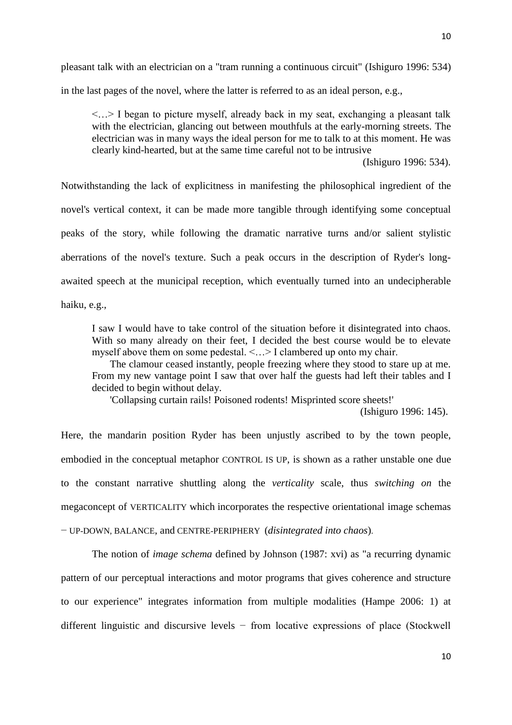pleasant talk with an electrician on a "tram running a continuous circuit" (Ishiguro 1996: 534) in the last pages of the novel, where the latter is referred to as an ideal person, e.g.,

<…> I began to picture myself, already back in my seat, exchanging a pleasant talk with the electrician, glancing out between mouthfuls at the early-morning streets. The electrician was in many ways the ideal person for me to talk to at this moment. He was clearly kind-hearted, but at the same time careful not to be intrusive

(Ishiguro 1996: 534).

Notwithstanding the lack of explicitness in manifesting the philosophical ingredient of the novel's vertical context, it can be made more tangible through identifying some conceptual peaks of the story, while following the dramatic narrative turns and/or salient stylistic aberrations of the novel's texture. Such a peak occurs in the description of Ryder's longawaited speech at the municipal reception, which eventually turned into an undecipherable haiku, e.g.,

I saw I would have to take control of the situation before it disintegrated into chaos. With so many already on their feet, I decided the best course would be to elevate myself above them on some pedestal.  $\leq$   $\leq$  > I clambered up onto my chair.

 The clamour ceased instantly, people freezing where they stood to stare up at me. From my new vantage point I saw that over half the guests had left their tables and I decided to begin without delay.

'Collapsing curtain rails! Poisoned rodents! Misprinted score sheets!'

(Ishiguro 1996: 145).

Here, the mandarin position Ryder has been unjustly ascribed to by the town people, embodied in the conceptual metaphor CONTROL IS UP, is shown as a rather unstable one due to the constant narrative shuttling along the *verticality* scale, thus *switching on* the megaconcept of VERTICALITY which incorporates the respective orientational image schemas − UP-DOWN, BALANCE, and CENTRE-PERIPHERY (*disintegrated into chaos*).

The notion of *image schema* defined by Johnson (1987: xvi) as "a recurring dynamic pattern of our perceptual interactions and motor programs that gives coherence and structure to our experience" integrates information from multiple modalities (Hampe 2006: 1) at different linguistic and discursive levels − from locative expressions of place (Stockwell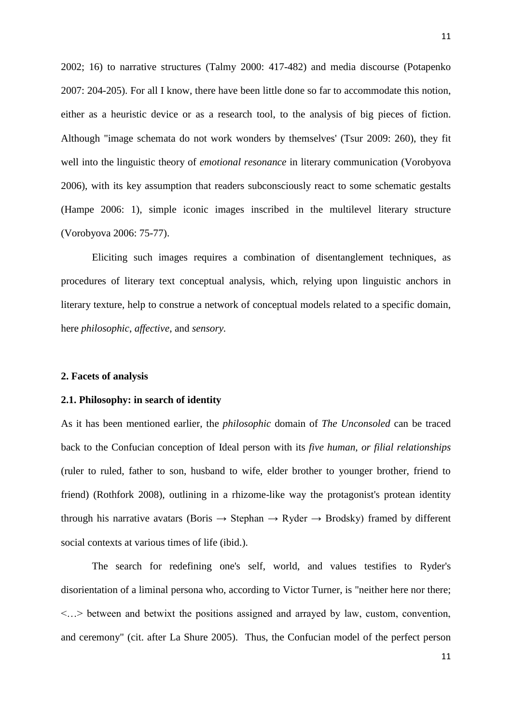2002; 16) to narrative structures (Talmy 2000: 417-482) and media discourse (Potapenko 2007: 204-205). For all I know, there have been little done so far to accommodate this notion, either as a heuristic device or as a research tool, to the analysis of big pieces of fiction. Although "image schemata do not work wonders by themselves' (Tsur 2009: 260), they fit well into the linguistic theory of *emotional resonance* in literary communication (Vorobyova 2006), with its key assumption that readers subconsciously react to some schematic gestalts (Hampe 2006: 1), simple iconic images inscribed in the multilevel literary structure (Vorobyova 2006: 75-77).

Eliciting such images requires a combination of disentanglement techniques, as procedures of literary text conceptual analysis, which, relying upon linguistic anchors in literary texture, help to construe a network of conceptual models related to a specific domain, here *philosophic*, *affective*, and *sensory.* 

#### **2. Facets of analysis**

## **2.1. Philosophy: in search of identity**

As it has been mentioned earlier, the *philosophic* domain of *The Unconsoled* can be traced back to the Confucian conception of Ideal person with its *five human, or filial relationships* (ruler to ruled, father to son, husband to wife, elder brother to younger brother, friend to friend) (Rothfork 2008), outlining in a rhizome-like way the protagonist's protean identity through his narrative avatars (Boris  $\rightarrow$  Stephan  $\rightarrow$  Ryder  $\rightarrow$  Brodsky) framed by different social contexts at various times of life (ibid.).

The search for redefining one's self, world, and values testifies to Ryder's disorientation of a liminal persona who, according to Victor Turner, is "neither here nor there; <…> between and betwixt the positions assigned and arrayed by law, custom, convention, and ceremony" (cit. after La Shure 2005). Thus, the Confucian model of the perfect person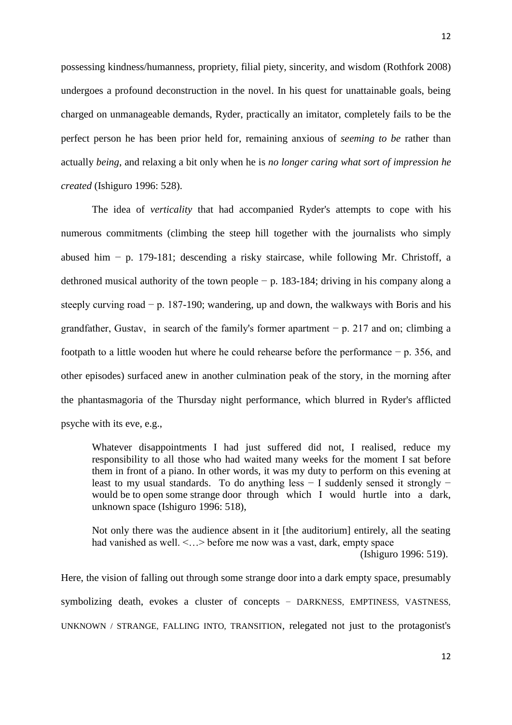possessing kindness/humanness, propriety, filial piety, sincerity, and wisdom (Rothfork 2008) undergoes a profound deconstruction in the novel. In his quest for unattainable goals, being charged on unmanageable demands, Ryder, practically an imitator, completely fails to be the perfect person he has been prior held for, remaining anxious of *seeming to be* rather than actually *being*, and relaxing a bit only when he is *no longer caring what sort of impression he created* (Ishiguro 1996: 528).

The idea of *verticality* that had accompanied Ryder's attempts to cope with his numerous commitments (climbing the steep hill together with the journalists who simply abused him − p. 179-181; descending a risky staircase, while following Mr. Christoff, a dethroned musical authority of the town people − p. 183-184; driving in his company along a steeply curving road − p. 187-190; wandering, up and down, the walkways with Boris and his grandfather, Gustav, in search of the family's former apartment  $-p$ , 217 and on; climbing a footpath to a little wooden hut where he could rehearse before the performance − p. 356, and other episodes) surfaced anew in another culmination peak of the story, in the morning after the phantasmagoria of the Thursday night performance, which blurred in Ryder's afflicted psyche with its eve, e.g.,

Whatever disappointments I had just suffered did not, I realised, reduce my responsibility to all those who had waited many weeks for the moment I sat before them in front of a piano. In other words, it was my duty to perform on this evening at least to my usual standards. To do anything less − I suddenly sensed it strongly − would be to open some strange door through which I would hurtle into a dark, unknown space (Ishiguro 1996: 518),

Not only there was the audience absent in it [the auditorium] entirely, all the seating had vanished as well.  $\leq$   $\leq$  > before me now was a vast, dark, empty space (Ishiguro 1996: 519).

Here, the vision of falling out through some strange door into a dark empty space, presumably symbolizing death, evokes a cluster of concepts – DARKNESS, EMPTINESS, VASTNESS, UNKNOWN / STRANGE, FALLING INTO, TRANSITION, relegated not just to the protagonist's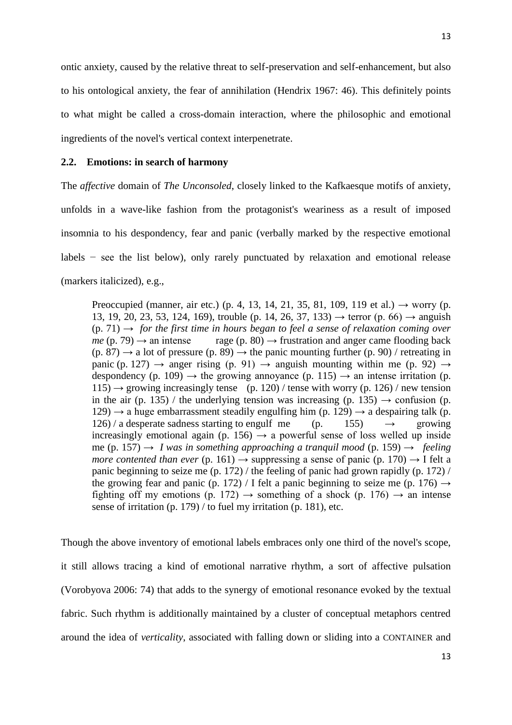ontic anxiety, caused by the relative threat to self-preservation and self-enhancement, but also to his ontological anxiety, the fear of annihilation (Hendrix 1967: 46). This definitely points to what might be called a cross-domain interaction, where the philosophic and emotional ingredients of the novel's vertical context interpenetrate.

#### **2.2. Emotions: in search of harmony**

The *affective* domain of *The Unconsoled*, closely linked to the Kafkaesque motifs of anxiety, unfolds in a wave-like fashion from the protagonist's weariness as a result of imposed insomnia to his despondency, fear and panic (verbally marked by the respective emotional labels − see the list below), only rarely punctuated by relaxation and emotional release (markers italicized), e.g.,

Preoccupied (manner, air etc.) (p. 4, 13, 14, 21, 35, 81, 109, 119 et al.)  $\rightarrow$  worry (p. 13, 19, 20, 23, 53, 124, 169), trouble (p. 14, 26, 37, 133) → terror (p. 66) → anguish  $(p, 71) \rightarrow$  *for the first time in hours began to feel a sense of relaxation coming over*  $me$  (p. 79)  $\rightarrow$  an intense rage (p. 80)  $\rightarrow$  frustration and anger came flooding back  $(p. 87) \rightarrow a$  lot of pressure  $(p. 89) \rightarrow$  the panic mounting further  $(p. 90)$  / retreating in panic (p. 127)  $\rightarrow$  anger rising (p. 91)  $\rightarrow$  anguish mounting within me (p. 92)  $\rightarrow$ despondency (p. 109)  $\rightarrow$  the growing annoyance (p. 115)  $\rightarrow$  an intense irritation (p.  $115) \rightarrow$  growing increasingly tense (p. 120) / tense with worry (p. 126) / new tension in the air (p. 135) / the underlying tension was increasing (p. 135)  $\rightarrow$  confusion (p.  $129 \rightarrow a$  huge embarrassment steadily engulfing him (p. 129)  $\rightarrow a$  despairing talk (p.  $126$  / a desperate sadness starting to engulf me (p. 155)  $\rightarrow$  growing increasingly emotional again (p. 156)  $\rightarrow$  a powerful sense of loss welled up inside me (p. 157) → *I* was in something approaching a tranquil mood (p. 159)  $\rightarrow$  *feeling more contented than ever* (p. 161)  $\rightarrow$  suppressing a sense of panic (p. 170)  $\rightarrow$  I felt a panic beginning to seize me (p. 172) / the feeling of panic had grown rapidly (p. 172) / the growing fear and panic (p. 172) / I felt a panic beginning to seize me (p. 176)  $\rightarrow$ fighting off my emotions (p. 172)  $\rightarrow$  something of a shock (p. 176)  $\rightarrow$  an intense sense of irritation (p. 179) / to fuel my irritation (p. 181), etc.

Though the above inventory of emotional labels embraces only one third of the novel's scope, it still allows tracing a kind of emotional narrative rhythm, a sort of affective pulsation (Vorobyova 2006: 74) that adds to the synergy of emotional resonance evoked by the textual fabric. Such rhythm is additionally maintained by a cluster of conceptual metaphors centred around the idea of *verticality*, associated with falling down or sliding into a CONTAINER and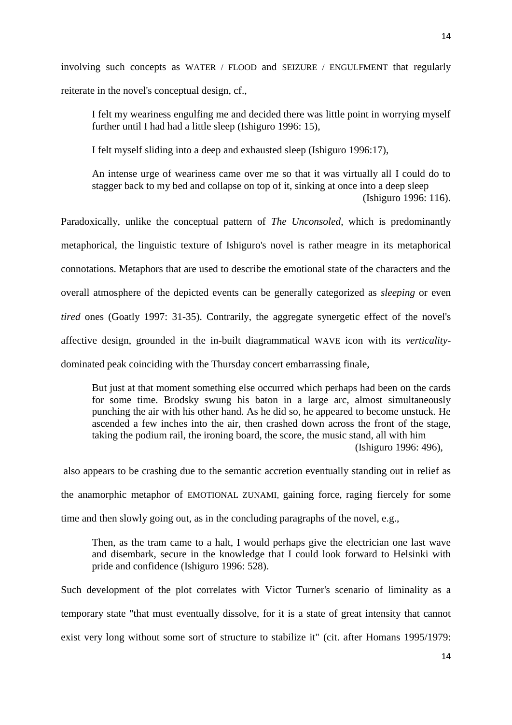involving such concepts as WATER / FLOOD and SEIZURE / ENGULFMENT that regularly reiterate in the novel's conceptual design, cf.,

I felt my weariness engulfing me and decided there was little point in worrying myself further until I had had a little sleep (Ishiguro 1996: 15),

I felt myself sliding into a deep and exhausted sleep (Ishiguro 1996:17),

An intense urge of weariness came over me so that it was virtually all I could do to stagger back to my bed and collapse on top of it, sinking at once into a deep sleep (Ishiguro 1996: 116).

Paradoxically, unlike the conceptual pattern of *The Unconsoled*, which is predominantly metaphorical, the linguistic texture of Ishiguro's novel is rather meagre in its metaphorical connotations. Metaphors that are used to describe the emotional state of the characters and the overall atmosphere of the depicted events can be generally categorized as *sleeping* or even *tired* ones (Goatly 1997: 31-35). Contrarily, the aggregate synergetic effect of the novel's affective design, grounded in the in-built diagrammatical WAVE icon with its *verticality*dominated peak coinciding with the Thursday concert embarrassing finale,

But just at that moment something else occurred which perhaps had been on the cards for some time. Brodsky swung his baton in a large arc, almost simultaneously punching the air with his other hand. As he did so, he appeared to become unstuck. He ascended a few inches into the air, then crashed down across the front of the stage, taking the podium rail, the ironing board, the score, the music stand, all with him (Ishiguro 1996: 496),

also appears to be crashing due to the semantic accretion eventually standing out in relief as the anamorphic metaphor of EMOTIONAL ZUNAMI, gaining force, raging fiercely for some time and then slowly going out, as in the concluding paragraphs of the novel, e.g.,

Then, as the tram came to a halt, I would perhaps give the electrician one last wave and disembark, secure in the knowledge that I could look forward to Helsinki with pride and confidence (Ishiguro 1996: 528).

Such development of the plot correlates with Victor Turner's scenario of liminality as a temporary state "that must eventually dissolve, for it is a state of great intensity that cannot exist very long without some sort of structure to stabilize it" (cit. after Homans 1995/1979: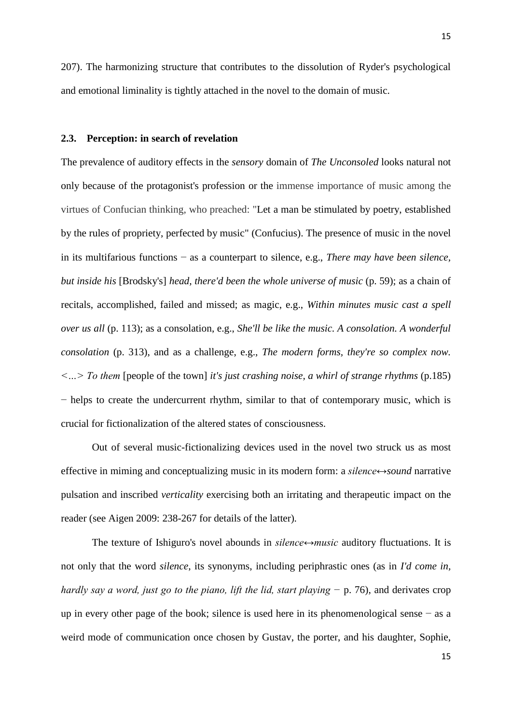207). The harmonizing structure that contributes to the dissolution of Ryder's psychological and emotional liminality is tightly attached in the novel to the domain of music.

# **2.3. Perception: in search of revelation**

The prevalence of auditory effects in the *sensory* domain of *The Unconsoled* looks natural not only because of the protagonist's profession or the immense importance of music among the virtues of Confucian thinking, who preached: "Let a man be stimulated by poetry, established by the rules of propriety, perfected by music" (Confucius). The presence of music in the novel in its multifarious functions − as a counterpart to silence, e.g., *There may have been silence, but inside his* [Brodsky's] *head, there'd been the whole universe of music* (p. 59); as a chain of recitals, accomplished, failed and missed; as magic, e.g., *Within minutes music cast a spell over us all* (p. 113); as a consolation, e.g., *She'll be like the music. A consolation. A wonderful consolation* (p. 313), and as a challenge, e.g., *The modern forms, they're so complex now. <…> To them* [people of the town] *it's just crashing noise, a whirl of strange rhythms* (p.185) − helps to create the undercurrent rhythm, similar to that of contemporary music, which is crucial for fictionalization of the altered states of consciousness.

Out of several music-fictionalizing devices used in the novel two struck us as most effective in miming and conceptualizing music in its modern form: a *silence↔sound* narrative pulsation and inscribed *verticality* exercising both an irritating and therapeutic impact on the reader (see Aigen 2009: 238-267 for details of the latter)*.* 

The texture of Ishiguro's novel abounds in *silence↔music* auditory fluctuations. It is not only that the word *silence*, its synonyms, including periphrastic ones (as in *I'd come in, hardly say a word, just go to the piano, lift the lid, start playing* − p. 76), and derivates crop up in every other page of the book; silence is used here in its phenomenological sense − as a weird mode of communication once chosen by Gustav, the porter, and his daughter, Sophie,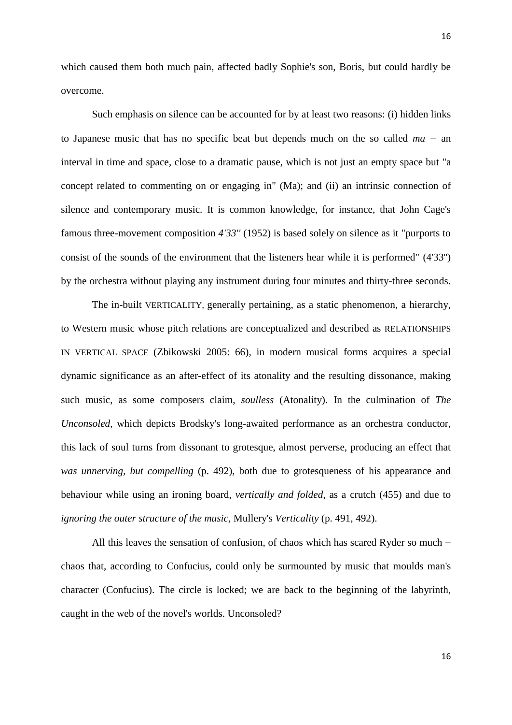which caused them both much pain, affected badly Sophie's son, Boris, but could hardly be overcome.

Such emphasis on silence can be accounted for by at least two reasons: (i) hidden links to Japanese music that has no specific beat but depends much on the so called *ma −* an interval in time and space, close to a dramatic pause, which is not just an empty space but "a concept related to commenting on or engaging in" (Ma); and (ii) an intrinsic connection of silence and contemporary music. It is common knowledge, for instance, that John Cage's famous three-movement composition *4'33''* (1952) is based solely on silence as it "purports to consist of the sounds of the environment that the listeners hear while it is performed" (4'33'') by the orchestra without playing any instrument during four minutes and thirty-three seconds.

The in-built VERTICALITY, generally pertaining, as a static phenomenon, a hierarchy, to Western music whose pitch relations are conceptualized and described as RELATIONSHIPS IN VERTICAL SPACE (Zbikowski 2005: 66), in modern musical forms acquires a special dynamic significance as an after-effect of its atonality and the resulting dissonance, making such music, as some composers claim, *soulless* (Atonality). In the culmination of *The Unconsoled*, which depicts Brodsky's long-awaited performance as an orchestra conductor, this lack of soul turns from dissonant to grotesque, almost perverse, producing an effect that *was unnerving, but compelling* (p. 492), both due to grotesqueness of his appearance and behaviour while using an ironing board, *vertically and folded*, as a crutch (455) and due to *ignoring the outer structure of the music,* Mullery's *Verticality* (p. 491, 492).

All this leaves the sensation of confusion, of chaos which has scared Ryder so much − chaos that, according to Confucius, could only be surmounted by music that moulds man's character (Confucius). The circle is locked; we are back to the beginning of the labyrinth, caught in the web of the novel's worlds. Unconsoled?

16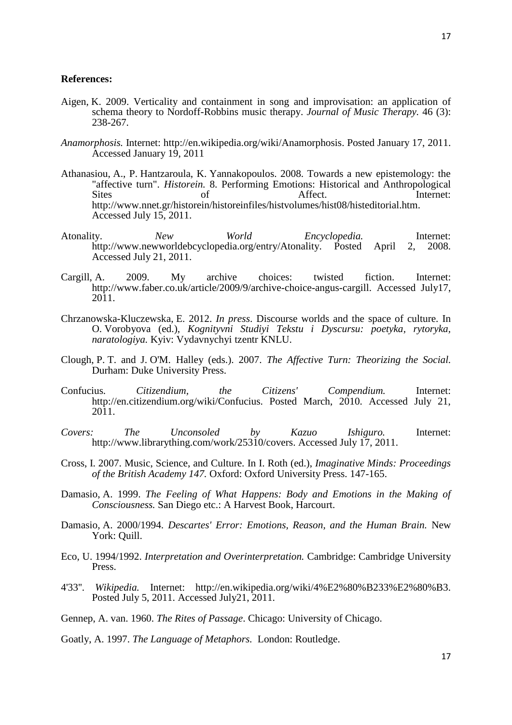#### **References:**

- Aigen, K. 2009. Verticality and containment in song and improvisation: an application of schema theory to Nordoff-Robbins music therapy. *Journal of Music Therapy.* 46 (3): 238-267.
- *Anamorphosis.* Internet: http://en.wikipedia.org/wiki/Anamorphosis. Posted January 17, 2011. Accessed January 19, 2011
- Athanasiou, A., P. Hantzaroula, K. Yannakopoulos. 2008. Towards a new epistemology: the "affective turn". *Historein.* 8. Performing Emotions: Historical and Anthropological Sites of Affect. Internet: http://www.nnet.gr/historein/historeinfiles/histvolumes/hist08/histeditorial.htm. Accessed July 15, 2011.
- Atonality. *New World Encyclopedia.* Internet: http://www.newworldebcyclopedia.org/entry/Atonality. Posted April 2, 2008. Accessed July 21, 2011.
- Cargill, A. 2009. My archive choices: twisted fiction. Internet: http://www.faber.co.uk/article/2009/9/archive-choice-angus-cargill. Accessed July17, 2011.
- Chrzanowska-Kluczewska, E. 2012. *In press*. Discourse worlds and the space of culture. In O. Vorobyova (ed.), *Kognityvni Studiyi Tekstu i Dyscursu: poetyka, rytoryka, naratologiya.* Kyiv: Vydavnychyi tzentr KNLU.
- Clough, P. T. and J. O'M. Halley (eds.). 2007. *The Affective Turn: Theorizing the Social.*  Durham: Duke University Press.
- Confucius*. Citizendium, the Citizens' Compendium.* Internet: http://en.citizendium.org/wiki/Confucius. Posted March, 2010. Accessed July 21, 2011.
- *Covers: The Unconsoled by Kazuo Ishiguro.* Internet: http://www.librarything.com/work/25310/covers. Accessed July 17, 2011.
- Cross, I. 2007. Music, Science, and Culture. In I. Roth (ed.), *Imaginative Minds: Proceedings of the British Academy 147.* Oxford: Oxford University Press. 147-165.
- Damasio, A. 1999. *The Feeling of What Happens: Body and Emotions in the Making of Consciousness.* San Diego etc.: A Harvest Book, Harcourt.
- Damasio, A. 2000/1994. *Descartes' Error: Emotions, Reason, and the Human Brain.* New York: Quill.
- Eco, U. 1994/1992. *Interpretation and Overinterpretation.* Cambridge: Cambridge University Press.
- 4'33''. *Wikipedia.* Internet: http://en.wikipedia.org/wiki/4%E2%80%B233%E2%80%B3. Posted July 5, 2011. Accessed July21, 2011.
- Gennep, A. van. 1960. *The Rites of Passage*. Chicago: University of Chicago.
- Goatly, A. 1997. *The Language of Metaphors.* London: Routledge.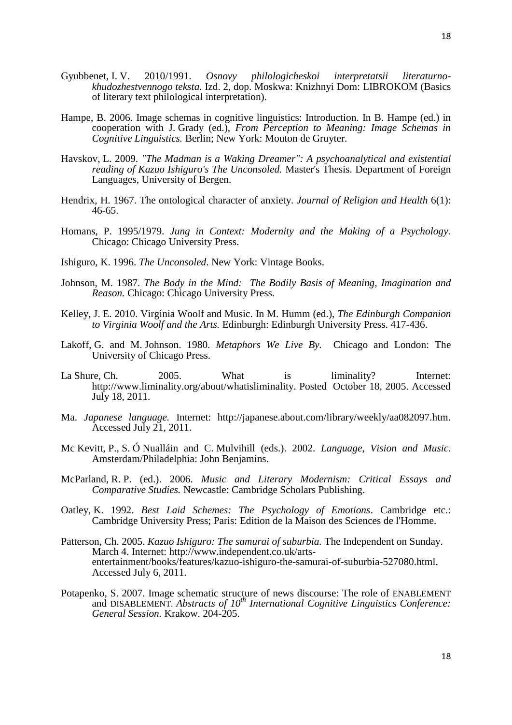- Gyubbenet, I. V. 2010/1991. *Osnovy philologicheskoi interpretatsii literaturnokhudozhestvennogo teksta.* Izd. 2, dop. Moskwa: Knizhnyi Dom: LIBROKOM (Basics of literary text philological interpretation).
- Hampe, B. 2006. Image schemas in cognitive linguistics: Introduction. In B. Hampe (ed.) in cooperation with J. Grady (ed.), *From Perception to Meaning: Image Schemas in Cognitive Linguistics.* Berlin; New York: Mouton de Gruyter.
- Havskov, L. 2009. *"The Madman is a Waking Dreamer": A psychoanalytical and existential reading of Kazuo Ishiguro's The Unconsoled.* Master's Thesis. Department of Foreign Languages, University of Bergen.
- Hendrix, H. 1967. The ontological character of anxiety. *Journal of Religion and Health* 6(1): 46-65.
- Homans, P. 1995/1979. *Jung in Context: Modernity and the Making of a Psychology.*  Chicago: Chicago University Press.
- Ishiguro, K. 1996. *The Unconsoled*. New York: Vintage Books.
- Johnson, M. 1987. *The Body in the Mind: The Bodily Basis of Meaning, Imagination and Reason.* Chicago: Chicago University Press.
- Kelley, J. E. 2010. Virginia Woolf and Music. In M. Humm (ed.), *The Edinburgh Companion to Virginia Woolf and the Arts.* Edinburgh: Edinburgh University Press. 417-436.
- Lakoff, G. and M. Johnson. 1980. *Metaphors We Live By.* Chicago and London: The University of Chicago Press.
- La Shure, Ch. 2005. What is liminality? Internet: http://www.liminality.org/about/whatisliminality. Posted October 18, 2005. Accessed July 18, 2011.
- Ma. *Japanese language.* Internet: http://japanese.about.com/library/weekly/aa082097.htm. Accessed July 21, 2011.
- Mc Kevitt, P., S. Ó Nualláin and C. Mulvihill (eds.). 2002. *Language*, *Vision and Music.*  Amsterdam/Philadelphia: John Benjamins.
- McParland, R. P. (ed.). 2006. *Music and Literary Modernism: Critical Essays and Comparative Studies.* Newcastle: Cambridge Scholars Publishing.
- Oatley, K. 1992. *Best Laid Schemes: The Psychology of Emotions*. Cambridge etc.: Cambridge University Press; Paris: Edition de la Maison des Sciences de l'Homme.
- Patterson, Ch. 2005. *Kazuo Ishiguro: The samurai of suburbia.* The Independent on Sunday. March 4. Internet: http://www.independent.co.uk/artsentertainment/books/features/kazuo-ishiguro-the-samurai-of-suburbia-527080.html. Accessed July 6, 2011.
- Potapenko, S. 2007. Image schematic structure of news discourse: The role of ENABLEMENT and DISABLEMENT. *Abstracts of 10<sup>th</sup> International Cognitive Linguistics Conference: General Session.* Krakow. 204-205.